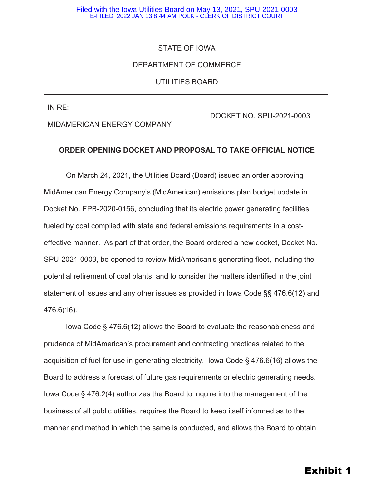#### Filed with the Iowa Utilities Board on May 13, 2021, SPU-2021-0003 E-FILED 2022 JAN 13 8:44 AM POLK - CLERK OF DISTRICT COURT

### STATE OF IOWA

### DEPARTMENT OF COMMERCE

### UTILITIES BOARD

IN RE:

MIDAMERICAN ENERGY COMPANY

DOCKET NO. SPU-2021-0003

### **ORDER OPENING DOCKET AND PROPOSAL TO TAKE OFFICIAL NOTICE**

On March 24, 2021, the Utilities Board (Board) issued an order approving MidAmerican Energy Company's (MidAmerican) emissions plan budget update in Docket No. EPB-2020-0156, concluding that its electric power generating facilities fueled by coal complied with state and federal emissions requirements in a costeffective manner. As part of that order, the Board ordered a new docket, Docket No. SPU-2021-0003, be opened to review MidAmerican's generating fleet, including the potential retirement of coal plants, and to consider the matters identified in the joint statement of issues and any other issues as provided in Iowa Code §§ 476.6(12) and 476.6(16).

Iowa Code § 476.6(12) allows the Board to evaluate the reasonableness and prudence of MidAmerican's procurement and contracting practices related to the acquisition of fuel for use in generating electricity. Iowa Code § 476.6(16) allows the Board to address a forecast of future gas requirements or electric generating needs. Iowa Code § 476.2(4) authorizes the Board to inquire into the management of the business of all public utilities, requires the Board to keep itself informed as to the manner and method in which the same is conducted, and allows the Board to obtain

# Exhibit 1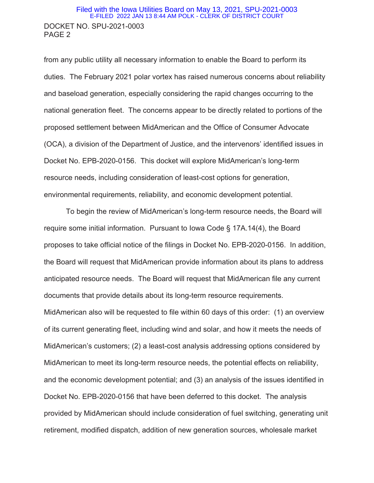### DOCKET NO. SPU-2021-0003 PAGE 2 Filed with the Iowa Utilities Board on May 13, 2021, SPU-2021-0003 E-FILED 2022 JAN 13 8:44 AM POLK - CLERK OF DISTRICT COURT

from any public utility all necessary information to enable the Board to perform its duties. The February 2021 polar vortex has raised numerous concerns about reliability and baseload generation, especially considering the rapid changes occurring to the national generation fleet. The concerns appear to be directly related to portions of the proposed settlement between MidAmerican and the Office of Consumer Advocate (OCA), a division of the Department of Justice, and the intervenors' identified issues in Docket No. EPB-2020-0156. This docket will explore MidAmerican's long-term resource needs, including consideration of least-cost options for generation, environmental requirements, reliability, and economic development potential.

To begin the review of MidAmerican's long-term resource needs, the Board will require some initial information. Pursuant to Iowa Code § 17A.14(4), the Board proposes to take official notice of the filings in Docket No. EPB-2020-0156. In addition, the Board will request that MidAmerican provide information about its plans to address anticipated resource needs. The Board will request that MidAmerican file any current documents that provide details about its long-term resource requirements. MidAmerican also will be requested to file within 60 days of this order: (1) an overview of its current generating fleet, including wind and solar, and how it meets the needs of MidAmerican's customers; (2) a least-cost analysis addressing options considered by MidAmerican to meet its long-term resource needs, the potential effects on reliability, and the economic development potential; and (3) an analysis of the issues identified in Docket No. EPB-2020-0156 that have been deferred to this docket. The analysis provided by MidAmerican should include consideration of fuel switching, generating unit retirement, modified dispatch, addition of new generation sources, wholesale market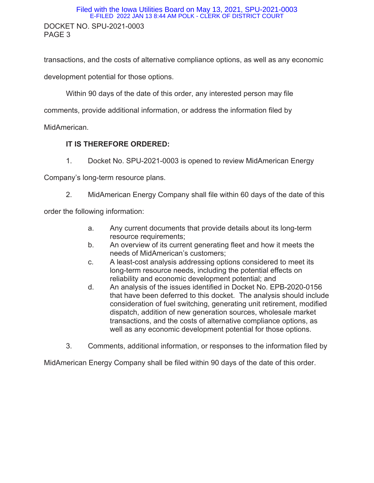### DOCKET NO. SPU-2021-0003 PAGE 3 Filed with the Iowa Utilities Board on May 13, 2021, SPU-2021-0003 E-FILED 2022 JAN 13 8:44 AM POLK - CLERK OF DISTRICT COURT

transactions, and the costs of alternative compliance options, as well as any economic

development potential for those options.

Within 90 days of the date of this order, any interested person may file

comments, provide additional information, or address the information filed by

MidAmerican.

### **IT IS THEREFORE ORDERED:**

1. Docket No. SPU-2021-0003 is opened to review MidAmerican Energy

Company's long-term resource plans.

2. MidAmerican Energy Company shall file within 60 days of the date of this

order the following information:

- a. Any current documents that provide details about its long-term resource requirements;
- b. An overview of its current generating fleet and how it meets the needs of MidAmerican's customers;
- c. A least-cost analysis addressing options considered to meet its long-term resource needs, including the potential effects on reliability and economic development potential; and
- d. An analysis of the issues identified in Docket No. EPB-2020-0156 that have been deferred to this docket. The analysis should include consideration of fuel switching, generating unit retirement, modified dispatch, addition of new generation sources, wholesale market transactions, and the costs of alternative compliance options, as well as any economic development potential for those options.
- 3. Comments, additional information, or responses to the information filed by

MidAmerican Energy Company shall be filed within 90 days of the date of this order.